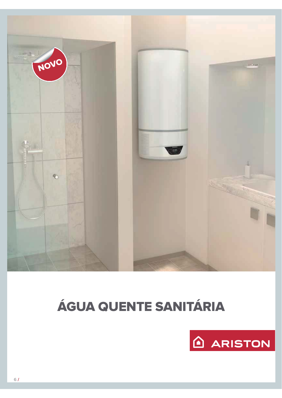

# ÁGUA QUENTE SANITÁRIA

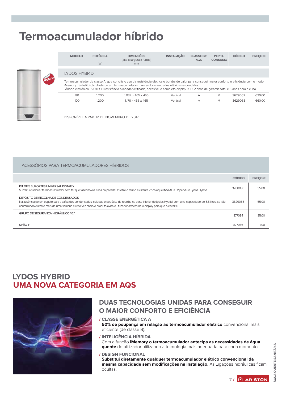## Termoacumulador híbrido

|       | <b>MODELO</b> | PUIENCIA<br>W | <b>DIMENSUES</b><br>(alto x largura x fundo)<br>mm                                                                                                                                                                                                                                                                                                                                             | <b>INSTALACAO</b> | <b>CLASSE EIP</b><br>AQS. | PERFIL<br><b>CONSUMO</b> | CODIGO  | <b>PRECO &amp;</b> |  |  |  |
|-------|---------------|---------------|------------------------------------------------------------------------------------------------------------------------------------------------------------------------------------------------------------------------------------------------------------------------------------------------------------------------------------------------------------------------------------------------|-------------------|---------------------------|--------------------------|---------|--------------------|--|--|--|
|       |               |               |                                                                                                                                                                                                                                                                                                                                                                                                |                   |                           |                          |         |                    |  |  |  |
| NUEVO |               | LYDOS HYBRID  |                                                                                                                                                                                                                                                                                                                                                                                                |                   |                           |                          |         |                    |  |  |  |
|       |               |               | Termoacumulador de classe A, que concilia o uso da resistência elétrica e bomba de calor para conseguir maior conforto e eficiência com o modo<br>iMemory . Substituição direta de um termoacumulador mantendo as entradas elétricas escondidas.<br>Ânodo eletrónico PROTECH resistência blindada vitrificada, acessível e completo display LCD. 2 anos de garantia total e 5 anos para a cuba |                   |                           |                          |         |                    |  |  |  |
|       | 80            | 1.200.        | $1.032 \times 465 \times 465$                                                                                                                                                                                                                                                                                                                                                                  | Vertical          | А                         | M                        | 3629052 | 620,00             |  |  |  |
|       | 100           | 200           | 1176 x 465 x 465                                                                                                                                                                                                                                                                                                                                                                               | Vertical          |                           | M                        | 3629053 | 660.00             |  |  |  |

DISPONÍVEL A PARTIR DE NOVEMBRO DE 2017

| ACESSÓRIOS PARA TERMOACUMULADORES HÍBRIDOS                                                                                                                                                                                                                                                                                             |               |         |
|----------------------------------------------------------------------------------------------------------------------------------------------------------------------------------------------------------------------------------------------------------------------------------------------------------------------------------------|---------------|---------|
|                                                                                                                                                                                                                                                                                                                                        | <b>CÓDIGO</b> | PRECO € |
| KIT DE 5 SUPORTES UNIVERSAL INSTAFIX<br>Substitui qualquer termoacumulador sem ter que fazer novos furos na parede: 1º retire o termo existente 2º coloque INSTAFIX 3º pendure Lydos Hybrid                                                                                                                                            | 3208080       | 35,00   |
| DEPÓSITO DE RECOLHA DE CONDENSADOS<br>Na ausência de um esgoto para a saída dos condensados, coloque o depósito de recolha na parte inferior de Lydos Hybrid, com uma capacidade de 6,5 litros, se irão<br>acumulando durante mais de uma semana e uma vez cheio o produto avisa o utilizador através de o display para que o esvazie. | 3629055       | 55,00   |
| GRUPO DE SEGURANÇA HIDRÁULICO 1/2"                                                                                                                                                                                                                                                                                                     | 877084        | 35,00   |
| SIFÃ∩ 1"                                                                                                                                                                                                                                                                                                                               | 877086        | 700.    |

### **LYDOS HYBRID UMA NOVA CATEGORIA EM AQS**



### **DUAS TECNOLOGIAS UNIDAS PARA CONSEGUIR** O MAIOR CONFORTO E EFICIÊNCIA

/ CLASSE ENERGÉTICA A 50% de poupança em relação ao termoacumulador elétrico convencional mais eficiente (de classe B).

- / INTELIGÊNCIA HÍBRIDA Com a função iMemory o termoacumulador antecipa as necessidades de água quente do utilizador utilizando a tecnologia mais adequada para cada momento.
- / DESIGN FUNCIONAL Substitui diretamente qualquer termoacumulador elétrico convencional da mesma capacidade sem modificações na instalação. As Ligações hidráulicas ficam ocultas.

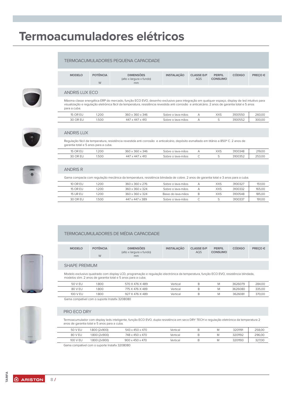### Termoacumuladores elétricos

### TERMOACUMULADORES PEQUENA CAPACIDADE



Máxima classe energética ERP do mercado, função ECO EVO, desenho exclusivo para integração em qualquer espaço, display de led intuitivo para visualização e regulação eletrónica fácil da temperatura, resistência revestida anti corrosão e anticalcário. 2 anos de garantia total e 5 anos para a cuba.

| $\sim$<br>└ | 1.200 | 346<br>360<br>361                                        | o lava-mäos<br>∩hr∆                       | VVC<br>ᄉᄉ | 3100550<br>.osov | 260.00 |
|-------------|-------|----------------------------------------------------------|-------------------------------------------|-----------|------------------|--------|
| ົ<br>$\cap$ | 1.500 | 410<br>$\overline{\phantom{a}}$<br>44.<br>$\Delta\Delta$ | -mäos<br>.obro o la<br>$\sim$<br>. Iava-r | ے         | ハミミつ<br>19992    | 300,00 |



### **ANDRIS LUX**

 $\overline{a}$ 

Regulação fácil da temperatura, resistência revestida anti corrosão e anticalcário, depósito esmaltado em titânio a 850° C. 2 anos de garantia total e 5 anos para a cuba

| OD<br>້າພ<br>$\sim$ $\sim$ $\sim$    | .200  | 360<br>$\sim$ $\sim$ $\sim$<br>$\sim$ $\sim$<br>.346<br>$\sim$ | , lava-mäos<br>.nhre | VVC<br>$\wedge\wedge\vartriangleright$ | 3100348 | 219.00                  |
|--------------------------------------|-------|----------------------------------------------------------------|----------------------|----------------------------------------|---------|-------------------------|
| $\cap$<br>$\cap$<br>' UR.<br>JU<br>ᄕ | I.500 | 410<br>--<br>44<br>44                                          | lava-mãos<br>-obreد  |                                        | 3100352 | <b>DED OC</b><br>LU,CCZ |



#### **ANDRIS R**

Gama compacta com regulação mecânica da temperatura, resistência blindada de cobre. 2 anos de garantia total e 3 anos para a cuba.

| 10 OR FU | .200  | 360 x 360 x 276             | Sobre o lava-mãos  | А | XXS  | 3100327 | 151.00 |
|----------|-------|-----------------------------|--------------------|---|------|---------|--------|
| 15 OR FU | 200   | 360 x 360 x 324             | Sobre o lava-mãos  |   | XXS. | 3100332 | 165.00 |
| 15 UR FU | 200   | 360 x 360 x 324             | Baixo do Java-mãos | B | XXS  | 3100548 | 185.00 |
| 30 OR FU | 1.500 | $447 \times 447 \times 389$ | Sobre o lava-mãos  |   |      | 3100337 | 191.00 |

### TERMOACUMULADORES DE MÉDIA CAPACIDADE

| <b>MODELO</b> | <b>POTÊNCIA</b><br>W | <b>DIMENSÕES</b><br>(alto x largura x fundo)<br>mm | <b>INSTALACÃO</b> | <b>CLASSE ErP</b><br><b>AQS</b> | <b>PERFIL</b><br><b>CONSUMO</b> | <b>CODIGO</b> | PRECO € |
|---------------|----------------------|----------------------------------------------------|-------------------|---------------------------------|---------------------------------|---------------|---------|
|               |                      |                                                    |                   |                                 |                                 |               |         |

#### **SHAPE PREMIUM**

Modelo exclusivo quadrado com display LCD, programação e regulação electrónica da temperatura, função ECO EVO, resistência blindada, modelos slim. 2 anos de garantia total e 5 anos para a cuba

| 50 V EU  | .800 | 570 X 476 X 489 | Vertical | M | 3626079 | 284.00 |
|----------|------|-----------------|----------|---|---------|--------|
| 80 V EU  | .800 | 775 X 476 X 489 | Vertical | M | 3626080 | 335,00 |
| 100 V EU | .800 | 927 X 476 X 489 | Vertical | M | 3626081 | 370.00 |

Gama compatível com o suporte Instafix 3208080

### PRO ECO DRY

Termoacumulador com display leds inteligente, função ECO EVO, dupla resistência em seco DRY TECH e regulação eletrónica da temperatura 2 anos de garantia total e 5 anos para a cuba.

| 50 V EU  | 1.800 (2x900) | $543 \times 450 \times 470$ | Vertical | Μ | 3201191 | 258.00 |
|----------|---------------|-----------------------------|----------|---|---------|--------|
| 80 V EU  | 1.800 (2x900) | 748 x 450 x 470             | Vertical | М | 3201192 | 296.00 |
| 100 V EU | 1.800 (2x900) | $900 \times 450 \times 470$ | Vertical | Μ | 3201193 | 327.00 |

Gama compatível com o suporte Instafix 3208080





**TARIF/**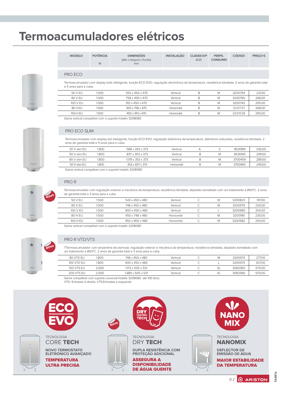## Termoacumuladores elétricos

|  | 1979 |  |  |
|--|------|--|--|
|  |      |  |  |
|  |      |  |  |

| <b>MODELO</b> | <b>POTÊNCIA</b><br>W | <b>DIMENSÕES</b><br>(alto x largura x fundo)<br>mm | <b>INSTALACÃO</b> | <b>CLASSE ErP</b><br>AQS | <b>PERFIL</b><br><b>CONSUMO</b> | <b>CODIGO</b> | PRECO € |
|---------------|----------------------|----------------------------------------------------|-------------------|--------------------------|---------------------------------|---------------|---------|
|               |                      |                                                    |                   |                          |                                 |               |         |

### PRO ECO

Termoacumulador com display leds inteligente, função ECO EVO, regulação electrónica da temperatura, resistência blindada. 2 anos de garantia total e 5 anos para a cuba.

| 50 V FU    | 1.500. | $553 \times 450 \times 470$ | Vertical   |  | 3200754 | 231.00 |
|------------|--------|-----------------------------|------------|--|---------|--------|
| 80 V FU    | 1.500  | 758 x 450 x 470             | Vertical   |  | 3200765 | 268,00 |
| 100 V FU   | 1.500  | $913 \times 450 \times 470$ | Vertical   |  | 3200743 | 295.00 |
| 80 H FU    | 1.500  | $450 \times 758 \times 470$ | Horizontal |  | 3201131 | 268,00 |
| $100$ H FU | 1.500  | $450 \times 913 \times 470$ | Horizontal |  | 3201128 | 295.00 |

Gama vertical compatível com o suporte Instafix 3208080



### PRO ECO SLIM

Termoacumulador com display led inteligente, função ECO EVO, regulação eletrónica da temperatura, diâmetros reduzidos, resistência blindada, 2 anos de garantia total e 5 anos para a cuba.

| 30 V slim FU | .800   | 588 x 353 x 373              | Vertical   |  | 3626189 | 236.00 |
|--------------|--------|------------------------------|------------|--|---------|--------|
| 50 V slim FU | 1.800. | $837 \times 353 \times 373$  | Vertical   |  | 3626190 | 249.00 |
| 80 V slim FU | 1.800. | $1178 \times 353 \times 373$ | Vertical   |  | 3700459 | 289.00 |
| 50 H slim FU | 1.800  | $353 \times 837 \times 373$  | Horizontal |  | 3700460 | 249.00 |
|              |        |                              |            |  |         |        |

Gama vertical compatível com o suporte Instafix 3208080



### PRO R

Termoacumulador com regulação exterior e mecánica da temperatura, resistência blindada, depósito esmaltado com um tratamento a 850°C. 2 anos de garantia total e 3 anos para a cuba.

| 50 V FU  | 1.500. | 543 x 450 x 480             | Vertical   | M | 3200823 | 197,00 |
|----------|--------|-----------------------------|------------|---|---------|--------|
| 80 V FU  | 1.500. | 748 x 450 x 480             | Vertical   | M | 3200979 | 230,00 |
| 100 V FU | 1.500. | $900 \times 450 \times 480$ | Vertical   |   | 3200980 | 254,00 |
| 80 H FU  | 1.500. | 450 x 748 x 480             | Horizontal | M | 3200981 | 230,00 |
| 100 H FU | 1.500. | $450 \times 900 \times 480$ | Horizontal | M | 3200982 | 254.00 |

Gama vertical compatível com o suporte Instafix 3208080



### PRO R VTD/VTS

TTermoacumulador com serpentina de permuta, regulação exterior e mecânica da temperatura, resistência blindada, depósito esmaltado com um tratamento a 850°C. 2 anos de garantia total e 3 anos para a cuba.

| 80 VTD FU  | 1.800 | 748 x 450 x 480               | Vertical |  | 3200974 | 277.00 |
|------------|-------|-------------------------------|----------|--|---------|--------|
| 100 VTD FU | 1.800 | $900 \times 450 \times 480$   | Vertical |  | 3200975 | 307,00 |
| 150 VTS FU | 2.000 | $1173 \times 505 \times 531$  | Vertical |  | 3060365 | 570.00 |
| 200 VTS FU | 2.500 | $1.489 \times 505 \times 531$ | Vertical |  | 3060366 | 670.00 |

Gama compatível com suporte universal Instafix 3208080 até 100 litros

VTD: Entradas à direita. VTS: Entradas à esquerda



**ARISTON** 

 $9/$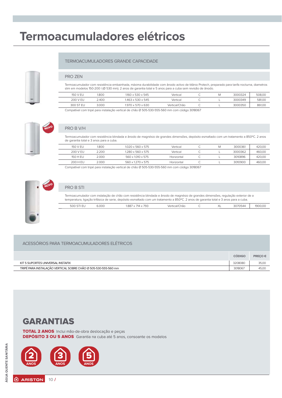## Termoacumuladores elétricos

### TERMOACUMULADORES GRANDE CAPACIDADE

Termoacumulador com resistência embainhada, máxima durabilidade com ânodo activo de titânio Protech, preparado para tarifa nocturna, diametros slim em modelos 150-200 I (Ø 530 mm). 2 anos de garantia total e 5 anos para a cuba sem revisão de ânodo.

| 150 V FU  | 1.800 | 1160 x 530 x 545              | Vertical      | ιvι | 3000324 | 508.00 |
|-----------|-------|-------------------------------|---------------|-----|---------|--------|
| 200 V FU  | 2.400 | $1.463 \times 530 \times 545$ | Vertical      |     | 3000349 | 581.00 |
| 300 ST EU | 3.000 | $1.970 \times 570 \times 630$ | Vertical/Chão |     | 3000350 | 861.00 |

Compatível com tripé para instalação vertical de chão Ø 505-530-555-560 mm com código 3018067



### PRO B V/H

PRO ZEN

Termoacumulador com resistência blindada e ânodo de magnésio de grandes dimensões, depósito esmaltado com um tratamento a 850°C. 2 anos de garantia total e 3 anos para a cuba.

| 150 V FU                                                                                     | .800  | $1020 \times 560 \times 575$ | Vertical   |  |  | 3000361 | 420.00 |
|----------------------------------------------------------------------------------------------|-------|------------------------------|------------|--|--|---------|--------|
| 200 V FU                                                                                     | 2.200 | 1.280 x 560 x 575            | Vertical   |  |  | 3000362 | 460.00 |
| 150 H FU                                                                                     | 2.000 | 560 x 1010 x 575             | Horizontal |  |  | 3010896 | 420.00 |
| 200 H FU                                                                                     | 2.000 | 560 x 1.270 x 575            | Horizontal |  |  | 3010900 | 460.00 |
| Concert of the third is no booking the control of the CA FOR FOO FEE FOO tool of the COMOOCT |       |                              |            |  |  |         |        |

Compatível com tripé para instalação vertical de chão Ø 505-530-555-560 mm com código 3018067



### PRO B STI

Termoacumulador com instalação de chão com resistência blindada e ânodo de magnésio de grandes dimensões, regulação exterior de a temperatura, ligação trifásica de serie, depósito esmaltado com um tratamento a 850°C. 2 anos de garantia total e 3 anos para a cuba.

| ~<br>$\mathbf{u}$<br>. | 6.000<br>. | $\neg \wedge \neg$<br>.887<br>74A<br>14<br>- | <b>Mertical</b><br>:hão<br>$\sim$<br>. | $\sim$ $\sim$ $\sim$<br>$\wedge$ | $\sim$ $\sim$ $\sim$ $\sim$ $\sim$ $\sim$<br>170544<br>. | 0 <sup>o</sup><br>◡ |
|------------------------|------------|----------------------------------------------|----------------------------------------|----------------------------------|----------------------------------------------------------|---------------------|
|                        |            |                                              |                                        |                                  |                                                          |                     |

#### ACESSÓRIOS PARA TERMOACUMULADORES ELÉTRICOS

|                                                                | <b>CODIGO</b> | <b>PRECO€</b> |
|----------------------------------------------------------------|---------------|---------------|
| KIT 5 SUPORTES UNIVERSAL INSTAFIX                              | 3208080       | 35,00         |
| TRIPÉ PARA INSTALAÇÃO VERTICAL SOBRE CHÃO Ø 505-530-555-560 mm | 3018067       | 45.0C         |

### **GARANTIAS**

TOTAL 2 ANOS Inclui mão-de-obra deslocação e peças **DEPÓSITO 3 OU 5 ANOS** Garantia na cuba até 5 anos, consoante os modelos

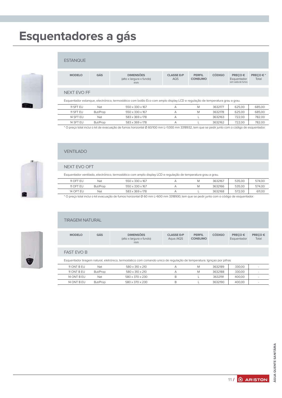## Esquentadores a gás



### **ESTANQUE**

| <b>MODELO</b>                                                                                                               | GÁS | <b>DIMENSÕES</b><br>(alto x largura x fundo)<br>mm | <b>CLASSE ErP</b><br>AQS | <b>PERFIL</b><br><b>CONSUMO</b> | <b>CÓDIGO</b> | PRECO€<br>Esquentador<br>sem saída de fumos | PRECO €*<br>Total |
|-----------------------------------------------------------------------------------------------------------------------------|-----|----------------------------------------------------|--------------------------|---------------------------------|---------------|---------------------------------------------|-------------------|
|                                                                                                                             |     |                                                    |                          |                                 |               |                                             |                   |
| NEXT FVO FF                                                                                                                 |     |                                                    |                          |                                 |               |                                             |                   |
| Esquentador estangue, electrónico, termostático com botão Eco com amplo display LCD e regulação de temperatura grau a grau. |     |                                                    |                          |                                 |               |                                             |                   |

| 11 SFT FU | Nat      | 550 x 330 x 167 | М | 3632177 | 625.00 | 685.00 |
|-----------|----------|-----------------|---|---------|--------|--------|
| 11 SFT FU | But/Prop | 550 x 330 x 167 | Μ | 3632178 | 625.00 | 685.00 |
| 14 SFT FU | Nat      | 583 x 369 x 178 |   | 3632163 | 722.00 | 782.00 |
| 14 SFT FU | But/Prop | 583 x 369 x 178 |   | 3632162 | 722.00 | 782.00 |

\* O preço total inclui o kit de evacuação de fumos horizontal Ø 60/100 mm L=1.000 mm 3318932, tem que se pedir junto com o código de esquentador.

### **VENTILADO**

### NEXT EVO OFT

 $\overline{\phantom{0}}$ 

Esquentador ventilado, electrónico, termostático com amplo display LCD e regulação de temperatura grau a grau.

| 11 OFT EU        | Nat      | 550 x 330 x 167 | Μ | 3632167 | 535.00 | 574,00 |
|------------------|----------|-----------------|---|---------|--------|--------|
| 11 OFT EU        | But/Prop | 550 x 330 x 167 | Μ | 3632166 | 535.00 | 574.00 |
| <b>14 OFT EL</b> | Nat      | 583 x 369 x 178 |   | 3632168 | 572.00 | 611.00 |

\* O preço total inclui o kit evacuação de fumos horizontal Ø 60 mm L=600 mm 3318930, tem que se pedir junto com o código de esquentador.



### **TIRAGEM NATURAL**

| <b>MODELO</b>                                                                                                           | GÁS | <b>DIMENSÕES</b><br>(alto x largura x fundo)<br>mm | <b>CLASSE ErP</b><br>Aque./AQS | <b>PERFIL</b><br><b>CONSUMO</b> | <b>CÓDIGO</b> | PRECO €<br>Esquentador | PRECO €<br>Total |
|-------------------------------------------------------------------------------------------------------------------------|-----|----------------------------------------------------|--------------------------------|---------------------------------|---------------|------------------------|------------------|
| <b>FAST EVO B</b>                                                                                                       |     |                                                    |                                |                                 |               |                        |                  |
| Esquentador tiragem natural, eletrónico, termostatico com comando unico de regulação de temperatura. Ignicao por pilhas |     |                                                    |                                |                                 |               |                        |                  |
| 11 ONT B FU                                                                                                             | Nat | 580 x 310 x 210                                    | А                              | M                               | 3632189       | 330.00                 |                  |

| 11 ONT B FU | Nat      | 580 x 310 x 210 |   | Μ | 3632189 | 330.00 |  |
|-------------|----------|-----------------|---|---|---------|--------|--|
| 11 ONT B FU | But/Prop | 580 x 310 x 210 |   | Μ | 3632188 | 330.00 |  |
| 14 ONT B FU | Nat      | 580 x 370 x 230 | B |   | 3632191 | 400.00 |  |
| 14 ONT B EU | But/Prop | 580 x 370 x 230 | R |   | 3632190 | 400.00 |  |